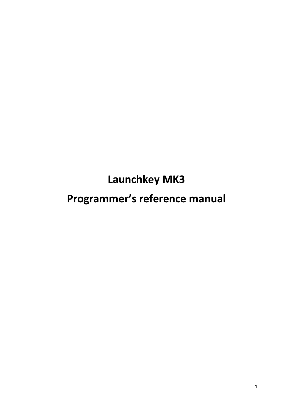**Launchkey MK3**

# **Programmer's reference manual**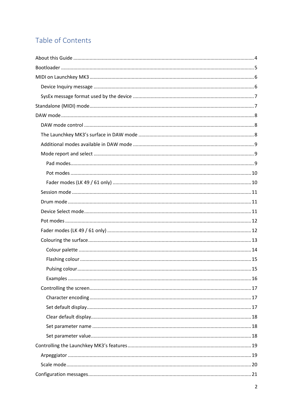## Table of Contents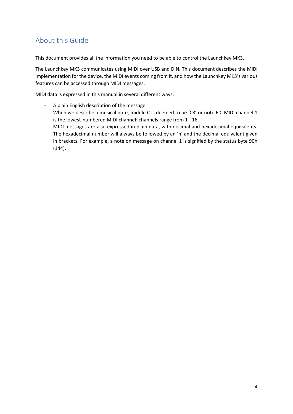## <span id="page-3-0"></span>About this Guide

This document provides all the information you need to be able to control the Launchkey MK3.

The Launchkey MK3 communicates using MIDI over USB and DIN. This document describes the MIDI implementation for the device, the MIDI events coming from it, and how the Launchkey MK3's various features can be accessed through MIDI messages.

MIDI data is expressed in this manual in several different ways:

- A plain English description of the message.
- When we describe a musical note, middle C is deemed to be 'C3' or note 60. MIDI channel 1 is the lowest-numbered MIDI channel: channels range from 1 - 16.
- MIDI messages are also expressed in plain data, with decimal and hexadecimal equivalents. The hexadecimal number will always be followed by an 'h' and the decimal equivalent given in brackets. For example, a note on message on channel 1 is signified by the status byte 90h (144).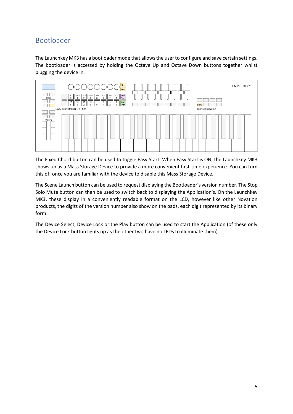## <span id="page-4-0"></span>Bootloader

The Launchkey MK3 has a bootloader mode that allows the user to configure and save certain settings. The bootloader is accessed by holding the Octave Up and Octave Down buttons together whilst plugging the device in.



The Fixed Chord button can be used to toggle Easy Start. When Easy Start is ON, the Launchkey MK3 shows up as a Mass Storage Device to provide a more convenient first-time experience. You can turn this off once you are familiar with the device to disable this Mass Storage Device.

The Scene Launch button can be used to request displaying the Bootloader's version number. The Stop Solo Mute button can then be used to switch back to displaying the Application's. On the Launchkey MK3, these display in a conveniently readable format on the LCD, however like other Novation products, the digits of the version number also show on the pads, each digit represented by its binary form.

The Device Select, Device Lock or the Play button can be used to start the Application (of these only the Device Lock button lights up as the other two have no LEDs to illuminate them).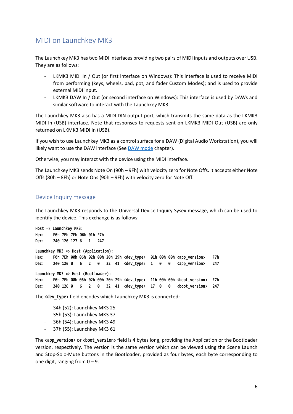## <span id="page-5-0"></span>MIDI on Launchkey MK3

The Launchkey MK3 has two MIDI interfaces providing two pairs of MIDI inputs and outputs over USB. They are as follows:

- LKMK3 MIDI In / Out (or first interface on Windows): This interface is used to receive MIDI from performing (keys, wheels, pad, pot, and fader Custom Modes); and is used to provide external MIDI input.
- LKMK3 DAW In / Out (or second interface on Windows): This interface is used by DAWs and similar software to interact with the Launchkey MK3.

The Launchkey MK3 also has a MIDI DIN output port, which transmits the same data as the LKMK3 MIDI In (USB) interface. Note that responses to requests sent on LKMK3 MIDI Out (USB) are only returned on LKMK3 MIDI In (USB).

If you wish to use Launchkey MK3 as a control surface for a DAW (Digital Audio Workstation), you will likely want to use the DAW interface (See [DAW mode](#page-6-2) chapter).

Otherwise, you may interact with the device using the MIDI interface.

The Launchkey MK3 sends Note On (90h – 9Fh) with velocity zero for Note Offs. It accepts either Note Offs (80h – 8Fh) or Note Ons (90h – 9Fh) with velocity zero for Note Off.

#### <span id="page-5-1"></span>Device Inquiry message

The Launchkey MK3 responds to the Universal Device Inquiry Sysex message, which can be used to identify the device. This exchange is as follows:

**Host => Launchkey MK3: Hex: F0h 7Eh 7Fh 06h 01h F7h Dec: 240 126 127 6 1 247 Launchkey MK3 => Host (Application): Hex: F0h 7Eh 00h 06h 02h 00h 20h 29h <dev\_type> 01h 00h 00h <app\_version> F7h Dec: 240 126 0 6 2 0 32 41 <dev\_type> 1 0 0 <app\_version> 247 Launchkey MK3 => Host (Bootloader): Hex: F0h 7Eh 00h 06h 02h 00h 20h 29h <dev\_type> 11h 00h 00h <boot\_version> F7h Dec: 240 126 0 6 2 0 32 41 <dev\_type> 17 0 0 <boot\_version> 247**

The **<dev** type> field encodes which Launchkey MK3 is connected:

- 34h (52): Launchkey MK3 25
- 35h (53): Launchkey MK3 37
- 36h (54): Launchkey MK3 49
- 37h (55): Launchkey MK3 61

The **<app\_version>** or **<boot\_version>** field is 4 bytes long, providing the Application or the Bootloader version, respectively. The version is the same version which can be viewed using the Scene Launch and Stop-Solo-Mute buttons in the Bootloader, provided as four bytes, each byte corresponding to one digit, ranging from  $0 - 9$ .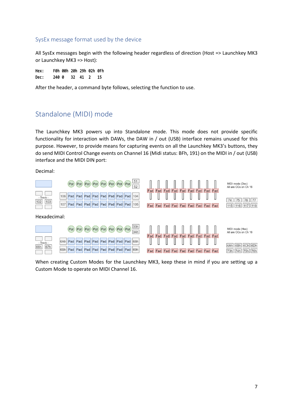#### <span id="page-6-0"></span>SysEx message format used by the device

All SysEx messages begin with the following header regardless of direction (Host => Launchkey MK3 or Launchkey MK3 => Host):

**Hex: F0h 00h 20h 29h 02h 0Fh Dec: 240 0 32 41 2 15**

<span id="page-6-1"></span>After the header, a command byte follows, selecting the function to use.

## Standalone (MIDI) mode

The Launchkey MK3 powers up into Standalone mode. This mode does not provide specific functionality for interaction with DAWs, the DAW in / out (USB) interface remains unused for this purpose. However, to provide means for capturing events on all the Launchkey MK3's buttons, they do send MIDI Control Change events on Channel 16 (Midi status: BFh, 191) on the MIDI in / out (USB) interface and the MIDI DIN port:

Decimal:



<span id="page-6-2"></span>When creating Custom Modes for the Launchkey MK3, keep these in mind if you are setting up a Custom Mode to operate on MIDI Channel 16.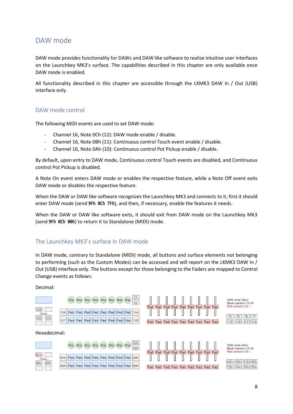### <span id="page-7-0"></span>DAW mode

DAW mode provides functionality for DAWs and DAW like software to realize intuitive user interfaces on the Launchkey MK3's surface. The capabilities described in this chapter are only available once DAW mode is enabled.

All functionality described in this chapter are accessible through the LKMK3 DAW In / Out (USB) interface only.

#### <span id="page-7-1"></span>DAW mode control

The following MIDI events are used to set DAW mode:

- Channel 16, Note 0Ch (12): DAW mode enable / disable.
- Channel 16, Note 0Bh (11): Continuous control Touch event enable / disable.
- Channel 16, Note 0Ah (10): Continuous control Pot Pickup enable / disable.

By default, upon entry to DAW mode, Continuous control Touch events are disabled, and Continuous control Pot Pickup is disabled.

A Note On event enters DAW mode or enables the respective feature, while a Note Off event exits DAW mode or disables the respective feature.

When the DAW or DAW like software recognizes the Launchkey MK3 and connects to it, first it should enter DAW mode (send **9Fh 0Ch 7Fh**), and then, if necessary, enable the features it needs.

When the DAW or DAW like software exits, it should exit from DAW mode on the Launchkey MK3 (send **9Fh 0Ch 00h**) to return it to Standalone (MIDI) mode.

#### <span id="page-7-2"></span>The Launchkey MK3's surface in DAW mode

In DAW mode, contrary to Standalone (MIDI) mode, all buttons and surface elements not belonging to performing (such as the Custom Modes) can be accessed and will report on the LKMK3 DAW In / Out (USB) interface only. The buttons except for those belonging to the Faders are mapped to Control Change events as follows:

#### Decimal:

|                  |                                             | Pot Pot Pot Pot Pot Pot Pot Pot $\frac{51}{52}$ |  |  |  |
|------------------|---------------------------------------------|-------------------------------------------------|--|--|--|
| 108<br>- Track - | 106 Pad Pad Pad Pad Pad Pad Pad Pad Pad 104 |                                                 |  |  |  |
| $ 102 $ $ 103 $  | 107 Pad Pad Pad Pad Pad Pad Pad Pad 105     |                                                 |  |  |  |

#### Hexadecimal:





 $=ad$ Fad Fad Fad Fad Fad Fad Fad Fad Fad Fad Fad Fad Fad Fad Fad DAW mode (Dec) Black numbers: Ch 16 Red numbers: Ch





|  | 4Ah 4Bh 4Ch 4Dh |  |
|--|-----------------|--|
|  | 73h 74h 75h 76h |  |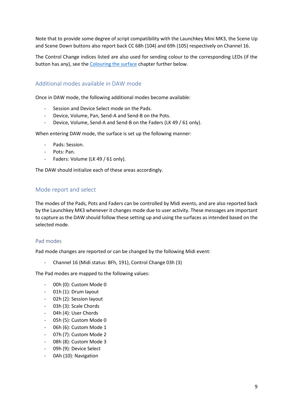Note that to provide some degree of script compatibility with the Launchkey Mini MK3, the Scene Up and Scene Down buttons also report back CC 68h (104) and 69h (105) respectively on Channel 16.

The Control Change indices listed are also used for sending colour to the corresponding LEDs (if the button has any), see th[e Colouring the surface](#page-11-2) chapter further below.

#### <span id="page-8-0"></span>Additional modes available in DAW mode

Once in DAW mode, the following additional modes become available:

- Session and Device Select mode on the Pads.
- Device, Volume, Pan, Send-A and Send-B on the Pots.
- Device, Volume, Send-A and Send-B on the Faders (LK 49 / 61 only).

When entering DAW mode, the surface is set up the following manner:

- Pads: Session.
- Pots: Pan.
- Faders: Volume (LK 49 / 61 only).

The DAW should initialize each of these areas accordingly.

#### <span id="page-8-1"></span>Mode report and select

The modes of the Pads, Pots and Faders can be controlled by Midi events, and are also reported back by the Launchkey MK3 whenever it changes mode due to user activity. These messages are important to capture as the DAW should follow these setting up and using the surfaces as intended based on the selected mode.

#### <span id="page-8-2"></span>Pad modes

Pad mode changes are reported or can be changed by the following Midi event:

- Channel 16 (Midi status: BFh, 191), Control Change 03h (3)

The Pad modes are mapped to the following values:

- 00h (0): Custom Mode 0
- 01h (1): Drum layout
- 02h (2): Session layout
- 03h (3): Scale Chords
- 04h (4): User Chords
- 05h (5): Custom Mode 0
- 06h (6): Custom Mode 1
- 07h (7): Custom Mode 2
- 08h (8): Custom Mode 3
- 09h (9): Device Select
- 0Ah (10): Navigation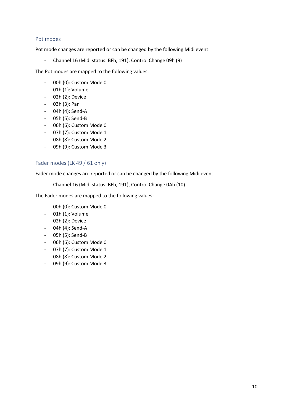#### <span id="page-9-0"></span>Pot modes

Pot mode changes are reported or can be changed by the following Midi event:

- Channel 16 (Midi status: BFh, 191), Control Change 09h (9)

The Pot modes are mapped to the following values:

- 00h (0): Custom Mode 0
- 01h (1): Volume
- 02h (2): Device
- 03h (3): Pan
- 04h (4): Send-A
- 05h (5): Send-B
- 06h (6): Custom Mode 0
- 07h (7): Custom Mode 1
- 08h (8): Custom Mode 2
- 09h (9): Custom Mode 3

#### <span id="page-9-1"></span>Fader modes (LK 49 / 61 only)

Fader mode changes are reported or can be changed by the following Midi event:

- Channel 16 (Midi status: BFh, 191), Control Change 0Ah (10)

The Fader modes are mapped to the following values:

- 00h (0): Custom Mode 0
- 01h (1): Volume
- 02h (2): Device
- 04h (4): Send-A
- 05h (5): Send-B
- 06h (6): Custom Mode 0
- 07h (7): Custom Mode 1
- 08h (8): Custom Mode 2
- 09h (9): Custom Mode 3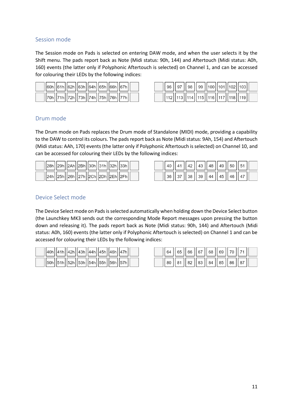#### <span id="page-10-0"></span>Session mode

The Session mode on Pads is selected on entering DAW mode, and when the user selects it by the Shift menu. The pads report back as Note (Midi status: 90h, 144) and Aftertouch (Midi status: A0h, 160) events (the latter only if Polyphonic Aftertouch is selected) on Channel 1, and can be accessed for colouring their LEDs by the following indices:

|  |  |  |  |  | $\vert$  60h $\vert$ 61h $\vert$ 62h $\vert$ 63h $\vert$ 64h $\vert$ 65h $\vert$ 66h $\vert$ 67h $\vert\vert$ |  |  |  |  |
|--|--|--|--|--|---------------------------------------------------------------------------------------------------------------|--|--|--|--|
|  |  |  |  |  | $\frac{1}{20h}$   71h  72h  73h  74h  75h  76h  77h                                                           |  |  |  |  |

|  | 96    97    98    99   100  101  102  103 |  |  |  |  |
|--|-------------------------------------------|--|--|--|--|
|  | 112  113  114  115  116  117  118  119    |  |  |  |  |

#### <span id="page-10-1"></span>Drum mode

The Drum mode on Pads replaces the Drum mode of Standalone (MIDI) mode, providing a capability to the DAW to control its colours. The pads report back as Note (Midi status: 9Ah, 154) and Aftertouch (Midi status: AAh, 170) events (the latter only if Polyphonic Aftertouch is selected) on Channel 10, and can be accessed for colouring their LEDs by the following indices:

| $\frac{1}{28h}$   29h  2Ah  2Bh  30h  31h  32h  33h |  |  |  |  |
|-----------------------------------------------------|--|--|--|--|
| $  24h  25h  26h  27h  2Ch  2Dh  2Eh  2Fh  $        |  |  |  |  |

|  |  |  | 40    41    42    43    48    49    50    51 |  |  |
|--|--|--|----------------------------------------------|--|--|
|  |  |  | 36    37    38    39    44    45    46    47 |  |  |

#### <span id="page-10-2"></span>Device Select mode

The Device Select mode on Pads is selected automatically when holding down the Device Select button (the Launchkey MK3 sends out the corresponding Mode Report messages upon pressing the button down and releasing it). The pads report back as Note (Midi status: 90h, 144) and Aftertouch (Midi status: A0h, 160) events (the latter only if Polyphonic Aftertouch is selected) on Channel 1 and can be accessed for colouring their LEDs by the following indices:

|  |  |  |  | $\frac{1}{2}$ 40h $\frac{1}{4}$ 41h $\frac{1}{4}$ 42h $\frac{1}{4}$ 44h $\frac{1}{4}$ 45h $\frac{1}{4}$ 46h $\frac{1}{4}$ 7h $\frac{1}{4}$ |  |
|--|--|--|--|--------------------------------------------------------------------------------------------------------------------------------------------|--|
|  |  |  |  | 50h  51h  52h  53h  54h  55h  56h  57h                                                                                                     |  |

|  |  |  | 64    65    66    67    68    69    70    71 |  |  |
|--|--|--|----------------------------------------------|--|--|
|  |  |  | 80    81    82    83    84    85    86    87 |  |  |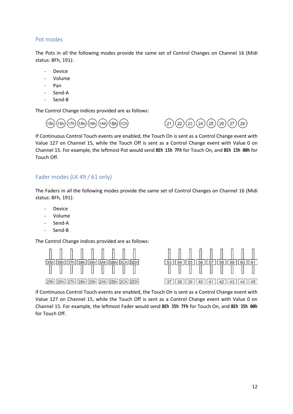#### <span id="page-11-0"></span>Pot modes

The Pots in all the following modes provide the same set of Control Changes on Channel 16 (Midi status: BFh, 191):

- **Device**
- Volume
- Pan
- Send-A
- Send-B

The Control Change indices provided are as follows:





If Continuous Control Touch events are enabled, the Touch On is sent as a Control Change event with Value 127 on Channel 15, while the Touch Off is sent as a Control Change event with Value 0 on Channel 15. For example, the leftmost Pot would send **BEh 15h 7Fh** for Touch On, and **BEh 15h 00h** for Touch Off.

#### <span id="page-11-1"></span>Fader modes (LK 49 / 61 only)

The Faders in all the following modes provide the same set of Control Changes on Channel 16 (Midi status: BFh, 191):

- **Device**
- Volume
- Send-A
- Send-B

The Control Change indices provided are as follows:



<span id="page-11-2"></span>If Continuous Control Touch events are enabled, the Touch On is sent as a Control Change event with Value 127 on Channel 15, while the Touch Off is sent as a Control Change event with Value 0 on Channel 15. For example, the leftmost Fader would send **BEh 35h 7Fh** for Touch On, and **BEh 35h 00h** for Touch Off.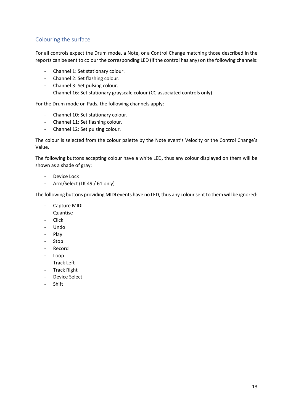#### <span id="page-12-0"></span>Colouring the surface

For all controls expect the Drum mode, a Note, or a Control Change matching those described in the reports can be sent to colour the corresponding LED (if the control has any) on the following channels:

- Channel 1: Set stationary colour.
- Channel 2: Set flashing colour.
- Channel 3: Set pulsing colour.
- Channel 16: Set stationary grayscale colour (CC associated controls only).

For the Drum mode on Pads, the following channels apply:

- Channel 10: Set stationary colour.
- Channel 11: Set flashing colour.
- Channel 12: Set pulsing colour.

The colour is selected from the colour palette by the Note event's Velocity or the Control Change's Value.

The following buttons accepting colour have a white LED, thus any colour displayed on them will be shown as a shade of gray:

- Device Lock
- Arm/Select (LK 49 / 61 only)

The following buttons providing MIDI events have no LED, thus any colour sent to them will be ignored:

- Capture MIDI
- Quantise
- Click
- Undo
- Play
- Stop
- Record
- Loop
- Track Left
- Track Right
- Device Select
- <span id="page-12-1"></span>- Shift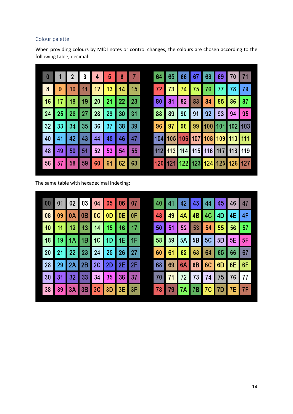#### <span id="page-13-0"></span>Colour palette

When providing colours by MIDI notes or control changes, the colours are chosen according to the following table, decimal:

| $\bf{0}$ | 1               | 2 <sup>2</sup> |                 |         |                   |    | $6 \mid 7$ | 64  | 65 | 66                              | 67 | 68 | 69 | 70 | 71 |
|----------|-----------------|----------------|-----------------|---------|-------------------|----|------------|-----|----|---------------------------------|----|----|----|----|----|
| 8        | 9               | 10             | 11 <sub>1</sub> | $12$ 13 |                   | 14 | 15         | 72  | 73 | 74                              | 75 | 76 | 77 | 78 | 79 |
| 16       |                 |                |                 |         | 17 18 19 20 21 22 |    | 23         | 80  |    | 81 82 83 84 85 86 87            |    |    |    |    |    |
| 24       |                 |                |                 |         | 25 26 27 28 29 30 |    | 31         | 88  | 89 | 90 91 92 93 94                  |    |    |    |    | 95 |
| 32       |                 |                |                 |         | 33 34 35 36 37 38 |    | 39         | 96  |    | 97 98 99 100 101 102 103        |    |    |    |    |    |
| 40       |                 |                |                 |         | 41 42 43 44 45 46 |    | 47         |     |    | 104 105 106 107 108 109 110 111 |    |    |    |    |    |
| 48       | 49              | 50             | 51              | 52      | 153               | 54 | 55         |     |    | 112 113 114 115 116 117 118 119 |    |    |    |    |    |
| 56       | 57 <sub>1</sub> |                |                 |         | 58 59 60 61       | 62 | 63         | 120 |    | 121 122 123 124 125 126 127     |    |    |    |    |    |

The same table with hexadecimal indexing:

|  |  | 00 01 02 03 04 05 06 07 |  |  |  |  | 40 41 42 43 44 45 46 47 |  |
|--|--|-------------------------|--|--|--|--|-------------------------|--|
|  |  | 08 09 0A 0B 0C 0D 0E OF |  |  |  |  | 48 49 4A 4B 4C 4D 4E 4F |  |
|  |  | 10 11 12 13 14 15 16 17 |  |  |  |  | 50 51 52 53 54 55 56 57 |  |
|  |  | 18 19 1A 1B 1C 1D 1E 1F |  |  |  |  | 58 59 5A 5B 5C 5D 5E 5F |  |
|  |  | 20 21 22 23 24 25 26 27 |  |  |  |  | 60 61 62 63 64 65 66 67 |  |
|  |  | 28 29 2A 2B 2C 2D 2E 2F |  |  |  |  | 68 69 6A 6B 6C 6D 6E 6F |  |
|  |  | 30 31 32 33 34 35 36 37 |  |  |  |  | 70 71 72 73 74 75 76 77 |  |
|  |  | 38 39 3A 3B 3C 3D 3E 3F |  |  |  |  | 78 79 7A 7B 7C 7D 7E 7F |  |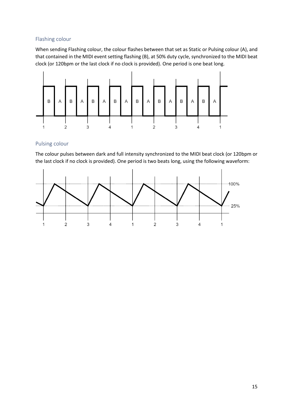#### <span id="page-14-0"></span>Flashing colour

When sending Flashing colour, the colour flashes between that set as Static or Pulsing colour (A), and that contained in the MIDI event setting flashing (B), at 50% duty cycle, synchronized to the MIDI beat clock (or 120bpm or the last clock if no clock is provided). One period is one beat long.



#### <span id="page-14-1"></span>Pulsing colour

The colour pulses between dark and full intensity synchronized to the MIDI beat clock (or 120bpm or the last clock if no clock is provided). One period is two beats long, using the following waveform:

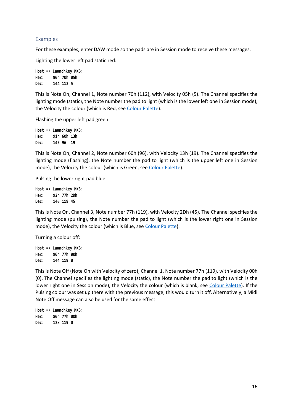#### <span id="page-15-0"></span>Examples

For these examples, enter DAW mode so the pads are in Session mode to receive these messages.

Lighting the lower left pad static red:

```
Host => Launchkey MK3:
Hex: 90h 70h 05h
Dec: 144 112 5
```
This is Note On, Channel 1, Note number 70h (112), with Velocity 05h (5). The Channel specifies the lighting mode (static), the Note number the pad to light (which is the lower left one in Session mode), the Velocity the colour (which is Red, see [Colour Palette\)](#page-12-1).

Flashing the upper left pad green:

**Host => Launchkey MK3: Hex: 91h 60h 13h Dec: 145 96 19**

This is Note On, Channel 2, Note number 60h (96), with Velocity 13h (19). The Channel specifies the lighting mode (flashing), the Note number the pad to light (which is the upper left one in Session mode), the Velocity the colour (which is Green, se[e Colour Palette\)](#page-12-1).

Pulsing the lower right pad blue:

**Host => Launchkey MK3: Hex: 92h 77h 2Dh Dec: 146 119 45**

This is Note On, Channel 3, Note number 77h (119), with Velocity 2Dh (45). The Channel specifies the lighting mode (pulsing), the Note number the pad to light (which is the lower right one in Session mode), the Velocity the colour (which is Blue, see [Colour Palette\)](#page-12-1).

Turning a colour off:

**Host => Launchkey MK3: Hex: 90h 77h 00h Dec: 144 119 0**

This is Note Off (Note On with Velocity of zero), Channel 1, Note number 77h (119), with Velocity 00h (0). The Channel specifies the lighting mode (static), the Note number the pad to light (which is the lower right one in Session mode), the Velocity the colour (which is blank, see [Colour Palette\)](#page-12-1). If the Pulsing colour was set up there with the previous message, this would turn it off. Alternatively, a Midi Note Off message can also be used for the same effect:

**Host => Launchkey MK3: Hex: 80h 77h 00h Dec: 128 119 0**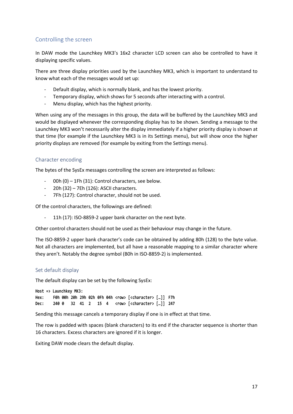#### <span id="page-16-0"></span>Controlling the screen

In DAW mode the Launchkey MK3's 16x2 character LCD screen can also be controlled to have it displaying specific values.

There are three display priorities used by the Launchkey MK3, which is important to understand to know what each of the messages would set up:

- Default display, which is normally blank, and has the lowest priority.
- Temporary display, which shows for 5 seconds after interacting with a control.
- Menu display, which has the highest priority.

When using any of the messages in this group, the data will be buffered by the Launchkey MK3 and would be displayed whenever the corresponding display has to be shown. Sending a message to the Launchkey MK3 won't necessarily alter the display immediately if a higher priority display is shown at that time (for example if the Launchkey MK3 is in its Settings menu), but will show once the higher priority displays are removed (for example by exiting from the Settings menu).

#### <span id="page-16-1"></span>Character encoding

The bytes of the SysEx messages controlling the screen are interpreted as follows:

- 00h (0) 1Fh (31): Control characters, see below.
- 20h (32) 7Eh (126): ASCII characters.
- 7Fh (127): Control character, should not be used.

Of the control characters, the followings are defined:

11h (17): ISO-8859-2 upper bank character on the next byte.

Other control characters should not be used as their behaviour may change in the future.

The ISO-8859-2 upper bank character's code can be obtained by adding 80h (128) to the byte value. Not all characters are implemented, but all have a reasonable mapping to a similar character where they aren't. Notably the degree symbol (B0h in ISO-8859-2) is implemented.

#### <span id="page-16-2"></span>Set default display

The default display can be set by the following SysEx:

```
Host => Launchkey MK3:
Hex: F0h 00h 20h 29h 02h 0Fh 04h <row> [<character> […]] F7h
Dec: 240 0 32 41 2 15 4 <row> [<character> […]] 247
```
Sending this message cancels a temporary display if one is in effect at that time.

The row is padded with spaces (blank characters) to its end if the character sequence is shorter than 16 characters. Excess characters are ignored if it is longer.

Exiting DAW mode clears the default display.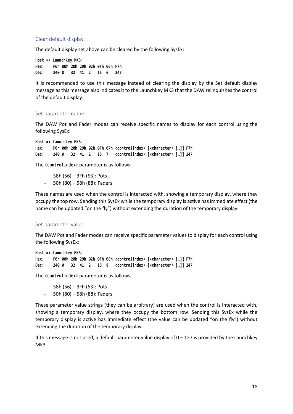#### <span id="page-17-0"></span>Clear default display

The default display set above can be cleared by the following SysEx:

**Host => Launchkey MK3: Hex: F0h 00h 20h 29h 02h 0Fh 06h F7h Dec: 240 0 32 41 2 15 6 247**

It is recommended to use this message instead of clearing the display by the Set default display message as this message also indicates it to the Launchkey MK3 that the DAW relinquishes the control of the default display.

#### <span id="page-17-1"></span>Set parameter name

The DAW Pot and Fader modes can receive specific names to display for each control using the following SysEx:

**Host => Launchkey MK3: Hex: F0h 00h 20h 29h 02h 0Fh 07h <controlindex> [<character> […]] F7h Dec: 240 0 32 41 2 15 7 <controlindex> [<character> […]] 247**

The **<controlindex>** parameter is as follows:

- 38h (56) 3Fh (63): Pots
- 50h (80) 58h (88): Faders

These names are used when the control is interacted with, showing a temporary display, where they occupy the top row. Sending this SysEx while the temporary display is active has immediate effect (the name can be updated "on the fly") without extending the duration of the temporary display.

#### <span id="page-17-2"></span>Set parameter value

The DAW Pot and Fader modes can receive specific parameter values to display for each control using the following SysEx:

**Host => Launchkey MK3: Hex: F0h 00h 20h 29h 02h 0Fh 08h <controlindex> [<character> […]] F7h Dec: 240 0 32 41 2 15 8 <controlindex> [<character> […]] 247**

The **<controlindex>** parameter is as follows:

- 38h (56) 3Fh (63): Pots
- 50h (80) 58h (88): Faders

These parameter value strings (they can be arbitrary) are used when the control is interacted with, showing a temporary display, where they occupy the bottom row. Sending this SysEx while the temporary display is active has immediate effect (the value can be updated "on the fly") without extending the duration of the temporary display.

If this message is not used, a default parameter value display of  $0 - 127$  is provided by the Launchkey MK3.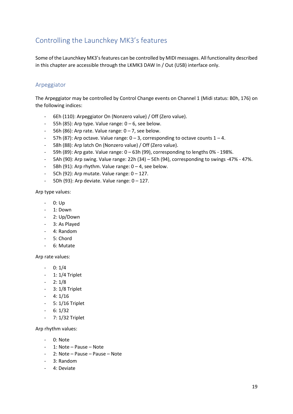## <span id="page-18-0"></span>Controlling the Launchkey MK3's features

Some of the Launchkey MK3's features can be controlled by MIDI messages. All functionality described in this chapter are accessible through the LKMK3 DAW In / Out (USB) interface only.

#### <span id="page-18-1"></span>Arpeggiator

The Arpeggiator may be controlled by Control Change events on Channel 1 (Midi status: B0h, 176) on the following indices:

- 6Eh (110): Arpeggiator On (Nonzero value) / Off (Zero value).
- $-$  55h (85): Arp type. Value range:  $0 6$ , see below.
- $-$  56h (86): Arp rate. Value range:  $0 7$ , see below.
- 57h (87): Arp octave. Value range:  $0 3$ , corresponding to octave counts  $1 4$ .
- 58h (88): Arp latch On (Nonzero value) / Off (Zero value).
- 59h (89): Arp gate. Value range: 0 63h (99), corresponding to lengths 0% 198%.
- 5Ah (90): Arp swing. Value range: 22h (34) 5Eh (94), corresponding to swings -47% 47%.
- 5Bh (91): Arp rhythm. Value range:  $0 4$ , see below.
- 5Ch (92): Arp mutate. Value range:  $0 127$ .
- $-$  5Dh (93): Arp deviate. Value range:  $0 127$ .

Arp type values:

- 0: Up
- 1: Down
- 2: Up/Down
- 3: As Played
- 4: Random
- 5: Chord
- 6: Mutate

Arp rate values:

- $-$  0: 1/4
- 1: 1/4 Triplet
- 2: 1/8
- 3: 1/8 Triplet
- $4: 1/16$
- 5: 1/16 Triplet
- $6: 1/32$
- 7: 1/32 Triplet

Arp rhythm values:

- 0: Note
- 1: Note Pause Note
- 2: Note Pause Pause Note
- 3: Random
- 4: Deviate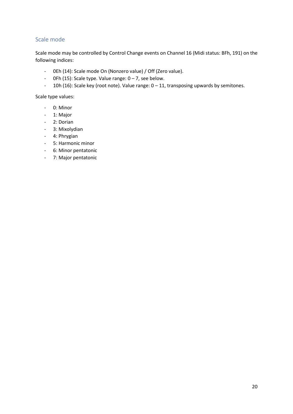#### <span id="page-19-0"></span>Scale mode

Scale mode may be controlled by Control Change events on Channel 16 (Midi status: BFh, 191) on the following indices:

- 0Eh (14): Scale mode On (Nonzero value) / Off (Zero value).
- OFh (15): Scale type. Value range:  $0 7$ , see below.
- 10h (16): Scale key (root note). Value range: 0 11, transposing upwards by semitones.

Scale type values:

- 0: Minor
- 1: Major
- 2: Dorian
- 3: Mixolydian
- 4: Phrygian
- 5: Harmonic minor
- 6: Minor pentatonic
- 7: Major pentatonic